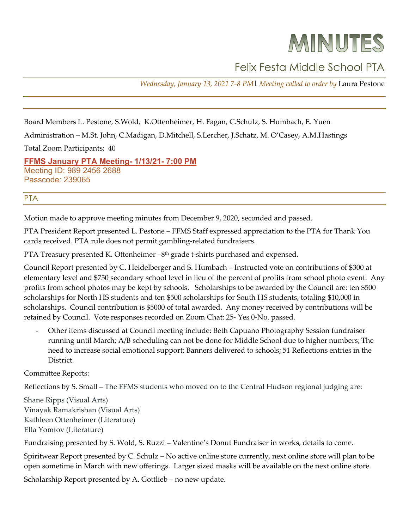## MINUTES

## Felix Festa Middle School PTA

*Wednesday, January 13, 2021 7-8 PM*| *Meeting called to order by* Laura Pestone

Board Members L. Pestone, S.Wold, K.Ottenheimer, H. Fagan, C.Schulz, S. Humbach, E. Yuen

Administration – M.St. John, C.Madigan, D.Mitchell, S.Lercher, J.Schatz, M. O'Casey, A.M.Hastings

Total Zoom Participants: 40

**[FFMS January](http://r20.rs6.net/tn.jsp?f=001MKIPy9d8ZvhlO7VcYDZFxP3fne-x0Nt-EzBYC2IqlMR_obq8wIoOaOuvsr4sz7fTJytt6FZAuYxGrZtp210m_uPjZEzZie-Q0sqeMfnpNdyCjMLxitSKzJFVqwYFXnsZybozYZQ35vhw0yYvlOVfr-d-CoKquxZnlEnojYsuQw5mbjua535oKYSvsrQAYmTdyTP_49JGvlOOo7dW4tsuEQ==&c=l70v4S2n4MSUjHPfuZKk1GadBJoqoRFLcH43WmiKiCHsdr7UQ_SE0A==&ch=sefARsSLxhdBYkb1G-gWrh96_jsSWEmwTO-ujWPWmLLCra6pL5Vdmw==) PTA Meeting- 1/13/21- 7:00 PM** Meeting ID: 989 2456 2688 Passcode: 239065

## PTA

Motion made to approve meeting minutes from December 9, 2020, seconded and passed.

PTA President Report presented L. Pestone – FFMS Staff expressed appreciation to the PTA for Thank You cards received. PTA rule does not permit gambling-related fundraisers.

PTA Treasury presented K. Ottenheimer -8<sup>th</sup> grade t-shirts purchased and expensed.

Council Report presented by C. Heidelberger and S. Humbach – Instructed vote on contributions of \$300 at elementary level and \$750 secondary school level in lieu of the percent of profits from school photo event. Any profits from school photos may be kept by schools. Scholarships to be awarded by the Council are: ten \$500 scholarships for North HS students and ten \$500 scholarships for South HS students, totaling \$10,000 in scholarships. Council contribution is \$5000 of total awarded. Any money received by contributions will be retained by Council. Vote responses recorded on Zoom Chat: 25- Yes 0-No. passed.

- Other items discussed at Council meeting include: Beth Capuano Photography Session fundraiser running until March; A/B scheduling can not be done for Middle School due to higher numbers; The need to increase social emotional support; Banners delivered to schools; 51 Reflections entries in the District.

Committee Reports:

Reflections by S. Small – The FFMS students who moved on to the Central Hudson regional judging are:

Shane Ripps (Visual Arts) Vinayak Ramakrishan (Visual Arts) Kathleen Ottenheimer (Literature) Ella Yomtov (Literature)

Fundraising presented by S. Wold, S. Ruzzi – Valentine's Donut Fundraiser in works, details to come.

Spiritwear Report presented by C. Schulz – No active online store currently, next online store will plan to be open sometime in March with new offerings. Larger sized masks will be available on the next online store.

Scholarship Report presented by A. Gottlieb – no new update.